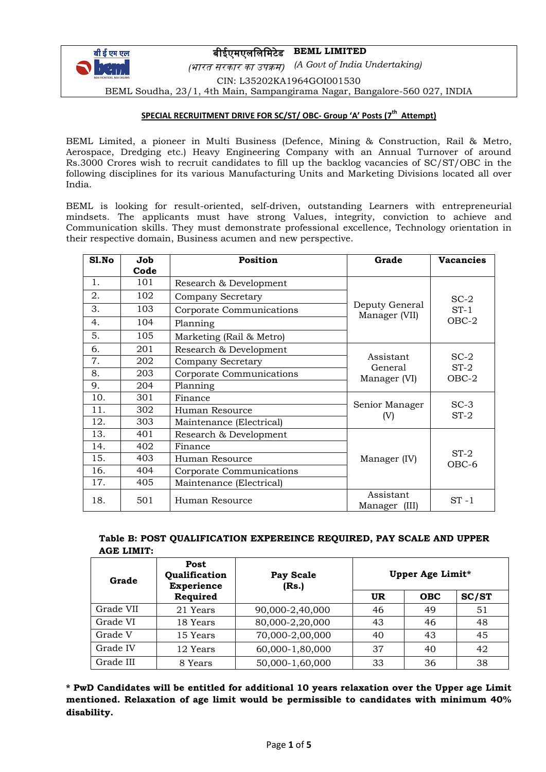

# बीईएमएललललमटेड **BEML LIMITED**

*(*भारत सरकार का उपक्रम) *(A Govt of India Undertaking)* CIN: L35202KA1964GOI001530 BEML Soudha, 23/1, 4th Main, Sampangirama Nagar, Bangalore-560 027, INDIA

## **SPECIAL RECRUITMENT DRIVE FOR SC/ST/ OBC- Group 'A' Posts (7 th Attempt)**

BEML Limited, a pioneer in Multi Business (Defence, Mining & Construction, Rail & Metro, Aerospace, Dredging etc.) Heavy Engineering Company with an Annual Turnover of around Rs.3000 Crores wish to recruit candidates to fill up the backlog vacancies of SC/ST/OBC in the following disciplines for its various Manufacturing Units and Marketing Divisions located all over India.

BEML is looking for result-oriented, self-driven, outstanding Learners with entrepreneurial mindsets. The applicants must have strong Values, integrity, conviction to achieve and Communication skills. They must demonstrate professional excellence, Technology orientation in their respective domain, Business acumen and new perspective.

| Sl.No | Job  | Position<br>Grade        |                                 | <b>Vacancies</b>            |  |
|-------|------|--------------------------|---------------------------------|-----------------------------|--|
|       | Code |                          |                                 |                             |  |
| 1.    | 101  | Research & Development   |                                 |                             |  |
| 2.    | 102  | Company Secretary        |                                 | $SC-2$<br>$ST-1$<br>$OBC-2$ |  |
| 3.    | 103  | Corporate Communications | Deputy General<br>Manager (VII) |                             |  |
| 4.    | 104  | Planning                 |                                 |                             |  |
| 5.    | 105  | Marketing (Rail & Metro) |                                 |                             |  |
| 6.    | 201  | Research & Development   |                                 | $SC-2$<br>$ST-2$<br>$OBC-2$ |  |
| 7.    | 202  | Company Secretary        | Assistant<br>General            |                             |  |
| 8.    | 203  | Corporate Communications | Manager (VI)                    |                             |  |
| 9.    | 204  | Planning                 |                                 |                             |  |
| 10.   | 301  | Finance                  |                                 | $SC-3$                      |  |
| 11.   | 302  | Human Resource           | Senior Manager<br>(V)           | $ST-2$                      |  |
| 12.   | 303  | Maintenance (Electrical) |                                 |                             |  |
| 13.   | 401  | Research & Development   |                                 |                             |  |
| 14.   | 402  | Finance                  |                                 | $ST-2$<br>OBC-6             |  |
| 15.   | 403  | Human Resource           | Manager (IV)                    |                             |  |
| 16.   | 404  | Corporate Communications |                                 |                             |  |
| 17.   | 405  | Maintenance (Electrical) |                                 |                             |  |
| 18.   | 501  | Human Resource           | Assistant<br>Manager<br>(III)   | $ST -1$                     |  |

## **Table B: POST QUALIFICATION EXPEREINCE REQUIRED, PAY SCALE AND UPPER AGE LIMIT:**

| Grade     | Post<br>Qualification<br><b>Experience</b> | Pay Scale<br>(Rs.) | Upper Age Limit* |            |       |
|-----------|--------------------------------------------|--------------------|------------------|------------|-------|
|           | Required                                   |                    | <b>UR</b>        | <b>OBC</b> | SC/ST |
| Grade VII | 21 Years                                   | 90,000-2,40,000    | 46               | 49         | 51    |
| Grade VI  | 18 Years                                   | 80,000-2,20,000    | 43               | 46         | 48    |
| Grade V   | 15 Years                                   | 70,000-2,00,000    | 40               | 43         | 45    |
| Grade IV  | 12 Years                                   | 60,000-1,80,000    | 37               | 40         | 42    |
| Grade III | 8 Years                                    | 50,000-1,60,000    | 33               | 36         | 38    |

**\* PwD Candidates will be entitled for additional 10 years relaxation over the Upper age Limit mentioned. Relaxation of age limit would be permissible to candidates with minimum 40% disability.**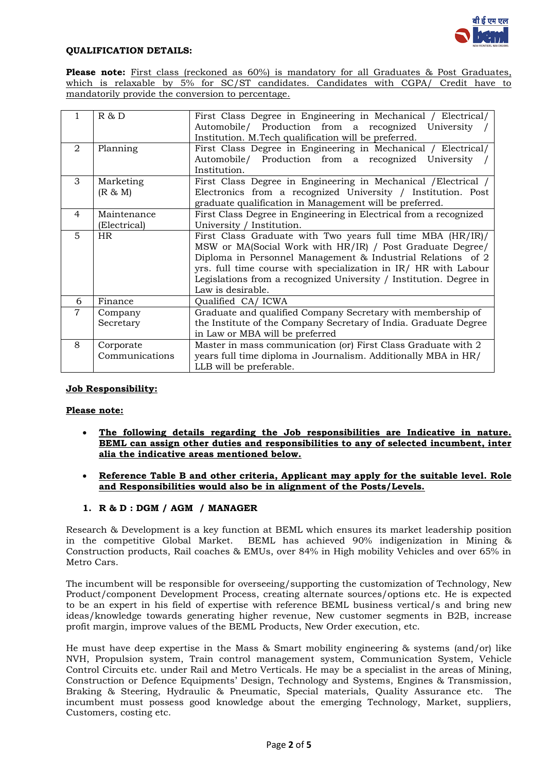

#### **QUALIFICATION DETAILS:**

Please note: First class (reckoned as 60%) is mandatory for all Graduates & Post Graduates, which is relaxable by 5% for SC/ST candidates. Candidates with CGPA/ Credit have to mandatorily provide the conversion to percentage.

|                | R & D          | First Class Degree in Engineering in Mechanical / Electrical/<br>Automobile/ Production from a recognized University |
|----------------|----------------|----------------------------------------------------------------------------------------------------------------------|
|                |                | Institution. M.Tech qualification will be preferred.                                                                 |
| $\mathcal{D}$  | Planning       | First Class Degree in Engineering in Mechanical / Electrical/                                                        |
|                |                | Automobile/ Production from a recognized University                                                                  |
|                |                | Institution.                                                                                                         |
| 3              | Marketing      | First Class Degree in Engineering in Mechanical / Electrical /                                                       |
|                | (R & M)        | Electronics from a recognized University / Institution. Post                                                         |
|                |                | graduate qualification in Management will be preferred.                                                              |
| 4              | Maintenance    | First Class Degree in Engineering in Electrical from a recognized                                                    |
|                | (Electrical)   | University / Institution.                                                                                            |
| 5              | HR             | First Class Graduate with Two years full time MBA (HR/IR)/                                                           |
|                |                | MSW or MA(Social Work with HR/IR) / Post Graduate Degree/                                                            |
|                |                | Diploma in Personnel Management & Industrial Relations of 2                                                          |
|                |                | yrs. full time course with specialization in IR/ HR with Labour                                                      |
|                |                | Legislations from a recognized University / Institution. Degree in                                                   |
|                |                | Law is desirable.                                                                                                    |
| 6              | Finance        | Qualified CA/ICWA                                                                                                    |
| $\overline{7}$ | Company        | Graduate and qualified Company Secretary with membership of                                                          |
|                | Secretary      | the Institute of the Company Secretary of India. Graduate Degree                                                     |
|                |                | in Law or MBA will be preferred                                                                                      |
| 8              | Corporate      | Master in mass communication (or) First Class Graduate with 2                                                        |
|                | Communications | years full time diploma in Journalism. Additionally MBA in HR/                                                       |
|                |                | LLB will be preferable.                                                                                              |

## **Job Responsibility:**

#### **Please note:**

- **The following details regarding the Job responsibilities are Indicative in nature. BEML can assign other duties and responsibilities to any of selected incumbent, inter alia the indicative areas mentioned below.**
- **Reference Table B and other criteria, Applicant may apply for the suitable level. Role and Responsibilities would also be in alignment of the Posts/Levels.**

## **1. R & D : DGM / AGM / MANAGER**

Research & Development is a key function at BEML which ensures its market leadership position in the competitive Global Market. BEML has achieved 90% indigenization in Mining & Construction products, Rail coaches & EMUs, over 84% in High mobility Vehicles and over 65% in Metro Cars.

The incumbent will be responsible for overseeing/supporting the customization of Technology, New Product/component Development Process, creating alternate sources/options etc. He is expected to be an expert in his field of expertise with reference BEML business vertical/s and bring new ideas/knowledge towards generating higher revenue, New customer segments in B2B, increase profit margin, improve values of the BEML Products, New Order execution, etc.

He must have deep expertise in the Mass & Smart mobility engineering & systems (and/or) like NVH, Propulsion system, Train control management system, Communication System, Vehicle Control Circuits etc. under Rail and Metro Verticals. He may be a specialist in the areas of Mining, Construction or Defence Equipments' Design, Technology and Systems, Engines & Transmission, Braking & Steering, Hydraulic & Pneumatic, Special materials, Quality Assurance etc. The incumbent must possess good knowledge about the emerging Technology, Market, suppliers, Customers, costing etc.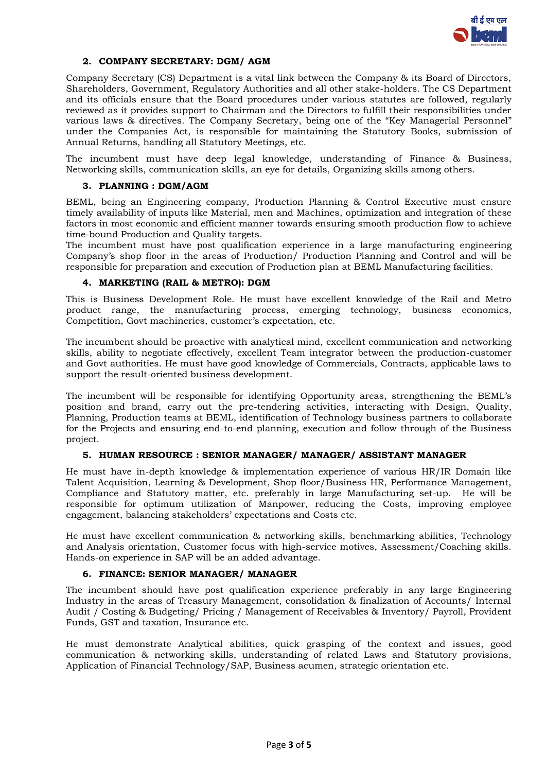

## **2. COMPANY SECRETARY: DGM/ AGM**

Company Secretary (CS) Department is a vital link between the Company & its Board of Directors, Shareholders, Government, Regulatory Authorities and all other stake-holders. The CS Department and its officials ensure that the Board procedures under various statutes are followed, regularly reviewed as it provides support to Chairman and the Directors to fulfill their responsibilities under various laws & directives. The Company Secretary, being one of the "Key Managerial Personnel" under the Companies Act, is responsible for maintaining the Statutory Books, submission of Annual Returns, handling all Statutory Meetings, etc.

The incumbent must have deep legal knowledge, understanding of Finance & Business, Networking skills, communication skills, an eye for details, Organizing skills among others.

#### **3. PLANNING : DGM/AGM**

BEML, being an Engineering company, Production Planning & Control Executive must ensure timely availability of inputs like Material, men and Machines, optimization and integration of these factors in most economic and efficient manner towards ensuring smooth production flow to achieve time-bound Production and Quality targets.

The incumbent must have post qualification experience in a large manufacturing engineering Company's shop floor in the areas of Production/ Production Planning and Control and will be responsible for preparation and execution of Production plan at BEML Manufacturing facilities.

## **4. MARKETING (RAIL & METRO): DGM**

This is Business Development Role. He must have excellent knowledge of the Rail and Metro product range, the manufacturing process, emerging technology, business economics, Competition, Govt machineries, customer's expectation, etc.

The incumbent should be proactive with analytical mind, excellent communication and networking skills, ability to negotiate effectively, excellent Team integrator between the production-customer and Govt authorities. He must have good knowledge of Commercials, Contracts, applicable laws to support the result-oriented business development.

The incumbent will be responsible for identifying Opportunity areas, strengthening the BEML's position and brand, carry out the pre-tendering activities, interacting with Design, Quality, Planning, Production teams at BEML, identification of Technology business partners to collaborate for the Projects and ensuring end-to-end planning, execution and follow through of the Business project.

## **5. HUMAN RESOURCE : SENIOR MANAGER/ MANAGER/ ASSISTANT MANAGER**

He must have in-depth knowledge & implementation experience of various HR/IR Domain like Talent Acquisition, Learning & Development, Shop floor/Business HR, Performance Management, Compliance and Statutory matter, etc. preferably in large Manufacturing set-up. He will be responsible for optimum utilization of Manpower, reducing the Costs, improving employee engagement, balancing stakeholders' expectations and Costs etc.

He must have excellent communication & networking skills, benchmarking abilities, Technology and Analysis orientation, Customer focus with high-service motives, Assessment/Coaching skills. Hands-on experience in SAP will be an added advantage.

#### **6. FINANCE: SENIOR MANAGER/ MANAGER**

The incumbent should have post qualification experience preferably in any large Engineering Industry in the areas of Treasury Management, consolidation & finalization of Accounts/ Internal Audit / Costing & Budgeting/ Pricing / Management of Receivables & Inventory/ Payroll, Provident Funds, GST and taxation, Insurance etc.

He must demonstrate Analytical abilities, quick grasping of the context and issues, good communication & networking skills, understanding of related Laws and Statutory provisions, Application of Financial Technology/SAP, Business acumen, strategic orientation etc.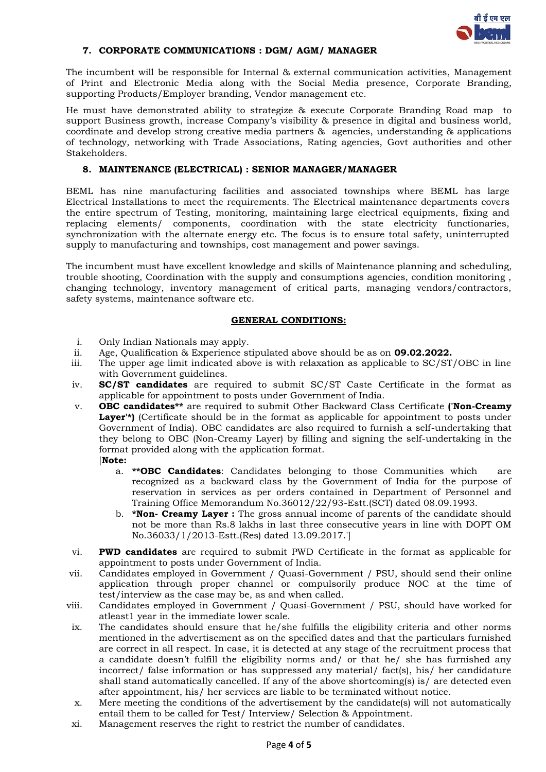

## **7. CORPORATE COMMUNICATIONS : DGM/ AGM/ MANAGER**

The incumbent will be responsible for Internal & external communication activities, Management of Print and Electronic Media along with the Social Media presence, Corporate Branding, supporting Products/Employer branding, Vendor management etc.

He must have demonstrated ability to strategize & execute Corporate Branding Road map to support Business growth, increase Company's visibility & presence in digital and business world, coordinate and develop strong creative media partners & agencies, understanding & applications of technology, networking with Trade Associations, Rating agencies, Govt authorities and other Stakeholders.

## **8. MAINTENANCE (ELECTRICAL) : SENIOR MANAGER/MANAGER**

BEML has nine manufacturing facilities and associated townships where BEML has large Electrical Installations to meet the requirements. The Electrical maintenance departments covers the entire spectrum of Testing, monitoring, maintaining large electrical equipments, fixing and replacing elements/ components, coordination with the state electricity functionaries, synchronization with the alternate energy etc. The focus is to ensure total safety, uninterrupted supply to manufacturing and townships, cost management and power savings.

The incumbent must have excellent knowledge and skills of Maintenance planning and scheduling, trouble shooting, Coordination with the supply and consumptions agencies, condition monitoring , changing technology, inventory management of critical parts, managing vendors/contractors, safety systems, maintenance software etc.

#### **GENERAL CONDITIONS:**

- i. Only Indian Nationals may apply.
- ii. Age, Qualification & Experience stipulated above should be as on **09.02.2022.**
- iii. The upper age limit indicated above is with relaxation as applicable to SC/ST/OBC in line with Government guidelines.
- iv. **SC/ST candidates** are required to submit SC/ST Caste Certificate in the format as applicable for appointment to posts under Government of India.
- v. **OBC candidates\*\*** are required to submit Other Backward Class Certificate **('Non-Creamy**  Laver<sup>'\*</sup>) (Certificate should be in the format as applicable for appointment to posts under Government of India). OBC candidates are also required to furnish a self-undertaking that they belong to OBC (Non-Creamy Layer) by filling and signing the self-undertaking in the format provided along with the application format. [**Note:**
	- a. **\*\*OBC Candidates**: Candidates belonging to those Communities which are recognized as a backward class by the Government of India for the purpose of reservation in services as per orders contained in Department of Personnel and Training Office Memorandum No.36012/22/93-Estt.(SCT) dated 08.09.1993.
	- b. **\*Non- Creamy Layer :** The gross annual income of parents of the candidate should not be more than Rs.8 lakhs in last three consecutive years in line with DOPT OM No.36033/1/2013-Estt.(Res) dated 13.09.2017.']
- vi. **PWD candidates** are required to submit PWD Certificate in the format as applicable for appointment to posts under Government of India.
- vii. Candidates employed in Government / Quasi-Government / PSU, should send their online application through proper channel or compulsorily produce NOC at the time of test/interview as the case may be, as and when called.
- viii. Candidates employed in Government / Quasi-Government / PSU, should have worked for atleast1 year in the immediate lower scale.
- ix. The candidates should ensure that he/she fulfills the eligibility criteria and other norms mentioned in the advertisement as on the specified dates and that the particulars furnished are correct in all respect. In case, it is detected at any stage of the recruitment process that a candidate doesn't fulfill the eligibility norms and/ or that he/ she has furnished any incorrect/ false information or has suppressed any material/ fact(s), his/ her candidature shall stand automatically cancelled. If any of the above shortcoming(s) is/ are detected even after appointment, his/ her services are liable to be terminated without notice.
- x. Mere meeting the conditions of the advertisement by the candidate(s) will not automatically entail them to be called for Test/ Interview/ Selection & Appointment.
- xi. Management reserves the right to restrict the number of candidates.